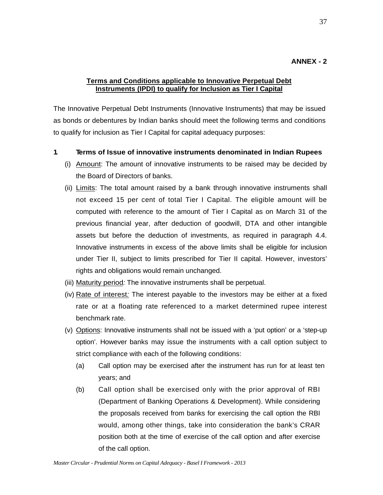## **ANNEX - 2**

## **Terms and Conditions applicable to Innovative Perpetual Debt Instruments (IPDI) to qualify for Inclusion as Tier I Capital**

The Innovative Perpetual Debt Instruments (Innovative Instruments) that may be issued as bonds or debentures by Indian banks should meet the following terms and conditions to qualify for inclusion as Tier I Capital for capital adequacy purposes:

- **1. Terms of Issue of innovative instruments denominated in Indian Rupees** 
	- (i) Amount: The amount of innovative instruments to be raised may be decided by the Board of Directors of banks.
	- (ii) Limits: The total amount raised by a bank through innovative instruments shall not exceed 15 per cent of total Tier I Capital. The eligible amount will be computed with reference to the amount of Tier I Capital as on March 31 of the previous financial year, after deduction of goodwill, DTA and other intangible assets but before the deduction of investments, as required in paragraph 4.4. Innovative instruments in excess of the above limits shall be eligible for inclusion under Tier II, subject to limits prescribed for Tier II capital. However, investors' rights and obligations would remain unchanged.
	- (iii) Maturity period*:* The innovative instruments shall be perpetual.
	- (iv) Rate of interest*:* The interest payable to the investors may be either at a fixed rate or at a floating rate referenced to a market determined rupee interest benchmark rate.
	- (v) Options: Innovative instruments shall not be issued with a 'put option' or a 'step-up option'. However banks may issue the instruments with a call option subject to strict compliance with each of the following conditions:
		- (a) Call option may be exercised after the instrument has run for at least ten years; and
		- (b) Call option shall be exercised only with the prior approval of RBI (Department of Banking Operations & Development). While considering the proposals received from banks for exercising the call option the RBI would, among other things, take into consideration the bank's CRAR position both at the time of exercise of the call option and after exercise of the call option.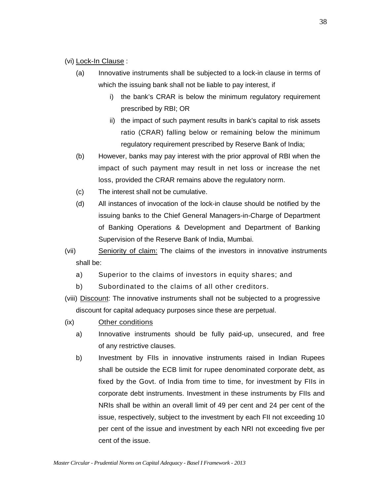#### (vi) Lock-In Clause:

- (a) Innovative instruments shall be subjected to a lock-in clause in terms of which the issuing bank shall not be liable to pay interest, if
	- i) the bank's CRAR is below the minimum regulatory requirement prescribed by RBI; OR
	- ii) the impact of such payment results in bank's capital to risk assets ratio (CRAR) falling below or remaining below the minimum regulatory requirement prescribed by Reserve Bank of India;
- (b) However, banks may pay interest with the prior approval of RBI when the impact of such payment may result in net loss or increase the net loss, provided the CRAR remains above the regulatory norm.
- (c) The interest shall not be cumulative.
- (d) All instances of invocation of the lock-in clause should be notified by the issuing banks to the Chief General Managers-in-Charge of Department of Banking Operations & Development and Department of Banking Supervision of the Reserve Bank of India, Mumbai.
- (vii) Seniority of claim: The claims of the investors in innovative instruments shall be:
	- a) Superior to the claims of investors in equity shares; and
	- b) Subordinated to the claims of all other creditors.
- (viii) Discount: The innovative instruments shall not be subjected to a progressive discount for capital adequacy purposes since these are perpetual.
- (ix) Other conditions
	- a) Innovative instruments should be fully paid-up, unsecured, and free of any restrictive clauses.
	- b) Investment by FIIs in innovative instruments raised in Indian Rupees shall be outside the ECB limit for rupee denominated corporate debt, as fixed by the Govt. of India from time to time, for investment by FIIs in corporate debt instruments. Investment in these instruments by FIIs and NRIs shall be within an overall limit of 49 per cent and 24 per cent of the issue, respectively, subject to the investment by each FII not exceeding 10 per cent of the issue and investment by each NRI not exceeding five per cent of the issue.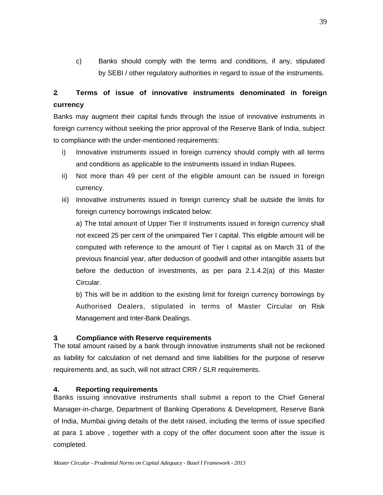c) Banks should comply with the terms and conditions, if any, stipulated by SEBI / other regulatory authorities in regard to issue of the instruments.

# **2. Terms of issue of innovative instruments denominated in foreign currency**

Banks may augment their capital funds through the issue of innovative instruments in foreign currency without seeking the prior approval of the Reserve Bank of India, subject to compliance with the under-mentioned requirements:

- i) Innovative instruments issued in foreign currency should comply with all terms and conditions as applicable to the instruments issued in Indian Rupees.
- ii) Not more than 49 per cent of the eligible amount can be issued in foreign currency.
- iii) Innovative instruments issued in foreign currency shall be outside the limits for foreign currency borrowings indicated below:

a) The total amount of Upper Tier II Instruments issued in foreign currency shall not exceed 25 per cent of the unimpaired Tier I capital. This eligible amount will be computed with reference to the amount of Tier I capital as on March 31 of the previous financial year, after deduction of goodwill and other intangible assets but before the deduction of investments, as per para 2.1.4.2(a) of this Master Circular.

b) This will be in addition to the existing limit for foreign currency borrowings by Authorised Dealers, stipulated in terms of Master Circular on Risk Management and Inter-Bank Dealings.

## **3. Compliance with Reserve requirements**

The total amount raised by a bank through innovative instruments shall not be reckoned as liability for calculation of net demand and time liabilities for the purpose of reserve requirements and, as such, will not attract CRR / SLR requirements.

## **4. Reporting requirements**

Banks issuing innovative instruments shall submit a report to the Chief General Manager-in-charge, Department of Banking Operations & Development, Reserve Bank of India, Mumbai giving details of the debt raised, including the terms of issue specified at para 1 above , together with a copy of the offer document soon after the issue is completed.